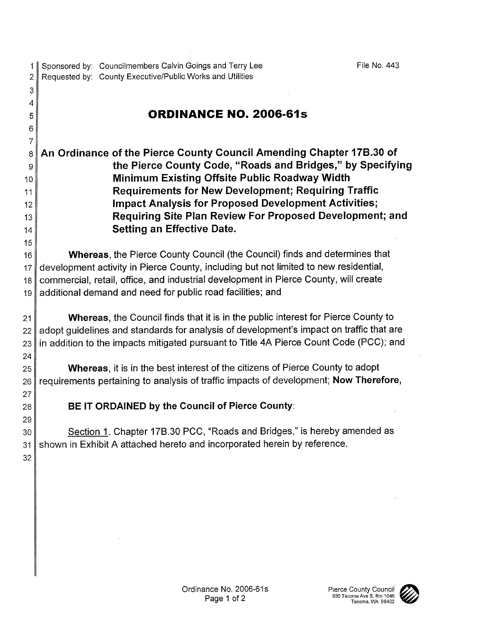File No. 443

Sponsored by: Councilmembers Calvin Goings and Terry Lee  $\mathbf{1}$  $\overline{2}$ Requested by: County Executive/Public Works and Utilities 3

## **ORDINANCE NO. 2006-61s**

An Ordinance of the Pierce County Council Amending Chapter 17B.30 of 8 the Pierce County Code, "Roads and Bridges," by Specifying 9 Minimum Existing Offsite Public Roadway Width 10 **Requirements for New Development: Requiring Traffic** 11 **Impact Analysis for Proposed Development Activities;**  $12$ Requiring Site Plan Review For Proposed Development; and  $13$ Setting an Effective Date.  $14$ 

Whereas, the Pierce County Council (the Council) finds and determines that  $16<sup>16</sup>$ development activity in Pierce County, including but not limited to new residential, 17 commercial, retail, office, and industrial development in Pierce County, will create 18 additional demand and need for public road facilities; and 19

**Whereas, the Council finds that it is in the public interest for Pierce County to**  $21$ adopt quidelines and standards for analysis of development's impact on traffic that are 22 in addition to the impacts mitigated pursuant to Title 4A Pierce Count Code (PCC); and 23

Whereas, it is in the best interest of the citizens of Pierce County to adopt 25 requirements pertaining to analysis of traffic impacts of development; Now Therefore, 26

BE IT ORDAINED by the Council of Pierce County:

Section 1. Chapter 17B.30 PCC, "Roads and Bridges," is hereby amended as 30 shown in Exhibit A attached hereto and incorporated herein by reference.  $31$ 

32

24

27

28 29

4

5 6 7

15

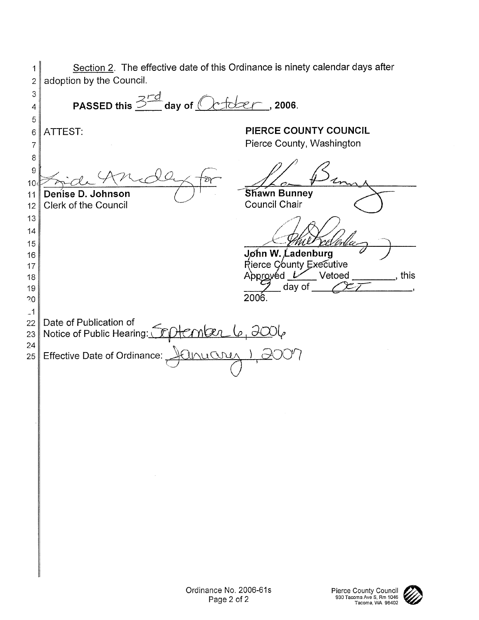Section 2. The effective date of this Ordinance is ninety calendar days after  $\mathbf{1}$ adoption by the Council. 2 3 PASSED this  $\frac{3rd}{1}$  day of  $Octder$ , 2006. 4 5 PIERCE COUNTY COUNCIL ATTEST: 6 Pierce County, Washington  $\overline{7}$ 8 9  $10<sub>1</sub>$ Shawn Bunney Denise D. Johnson  $11$ Council Chair **Clerk of the Council**  $12$  $13$  $14$ 15 John W. Ladenburg 16 Rierce County Executive 17 Approvéd Vetoed , this 18 day of 19 2006.  $20$  $-1$ Date of Publication of 22 Notice of Public Hearing: Colember 6, 2006 23 24 Effective Date of Ordinance: Inuare 25

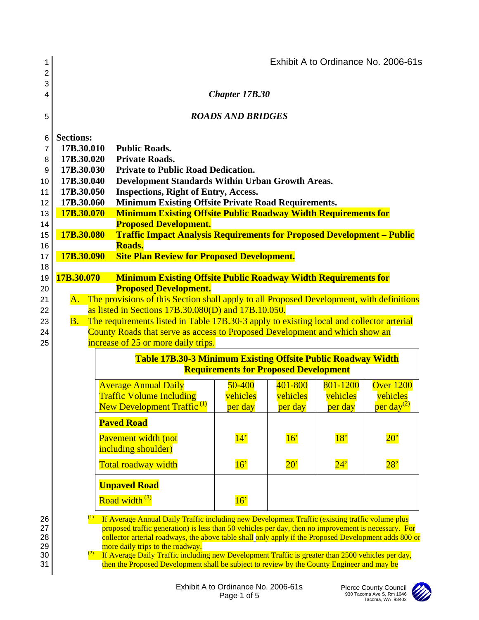| 1<br>2                                                                                                                                                                                                                                                                                                                                                                                                                                                                                                   |                          |            |                                                                                                                                                    |                                                             |              |                                                                       | Exhibit A to Ordinance No. 2006-61s |  |  |  |
|----------------------------------------------------------------------------------------------------------------------------------------------------------------------------------------------------------------------------------------------------------------------------------------------------------------------------------------------------------------------------------------------------------------------------------------------------------------------------------------------------------|--------------------------|------------|----------------------------------------------------------------------------------------------------------------------------------------------------|-------------------------------------------------------------|--------------|-----------------------------------------------------------------------|-------------------------------------|--|--|--|
| 3<br>4                                                                                                                                                                                                                                                                                                                                                                                                                                                                                                   | Chapter 17B.30           |            |                                                                                                                                                    |                                                             |              |                                                                       |                                     |  |  |  |
| 5                                                                                                                                                                                                                                                                                                                                                                                                                                                                                                        | <b>ROADS AND BRIDGES</b> |            |                                                                                                                                                    |                                                             |              |                                                                       |                                     |  |  |  |
| 6                                                                                                                                                                                                                                                                                                                                                                                                                                                                                                        | <b>Sections:</b>         |            |                                                                                                                                                    |                                                             |              |                                                                       |                                     |  |  |  |
| 7                                                                                                                                                                                                                                                                                                                                                                                                                                                                                                        | 17B.30.010               |            | <b>Public Roads.</b>                                                                                                                               |                                                             |              |                                                                       |                                     |  |  |  |
| 8                                                                                                                                                                                                                                                                                                                                                                                                                                                                                                        | 17B.30.020               |            | <b>Private Roads.</b>                                                                                                                              |                                                             |              |                                                                       |                                     |  |  |  |
| 9                                                                                                                                                                                                                                                                                                                                                                                                                                                                                                        | 17B.30.030               |            | <b>Private to Public Road Dedication.</b>                                                                                                          |                                                             |              |                                                                       |                                     |  |  |  |
| 10 <sup>1</sup><br>11                                                                                                                                                                                                                                                                                                                                                                                                                                                                                    | 17B.30.040<br>17B.30.050 |            | Development Standards Within Urban Growth Areas.<br><b>Inspections, Right of Entry, Access.</b>                                                    |                                                             |              |                                                                       |                                     |  |  |  |
| 12 <sub>2</sub>                                                                                                                                                                                                                                                                                                                                                                                                                                                                                          | 17B.30.060               |            | <b>Minimum Existing Offsite Private Road Requirements.</b>                                                                                         |                                                             |              |                                                                       |                                     |  |  |  |
| 13                                                                                                                                                                                                                                                                                                                                                                                                                                                                                                       |                          | 17B.30.070 | <b>Minimum Existing Offsite Public Roadway Width Requirements for</b>                                                                              |                                                             |              |                                                                       |                                     |  |  |  |
| 14                                                                                                                                                                                                                                                                                                                                                                                                                                                                                                       |                          |            | <b>Proposed Development.</b>                                                                                                                       |                                                             |              |                                                                       |                                     |  |  |  |
| 15                                                                                                                                                                                                                                                                                                                                                                                                                                                                                                       | 17B.30.080               |            | <b>Traffic Impact Analysis Requirements for Proposed Development - Public</b>                                                                      |                                                             |              |                                                                       |                                     |  |  |  |
| 16<br>17                                                                                                                                                                                                                                                                                                                                                                                                                                                                                                 |                          | 17B.30.090 |                                                                                                                                                    | Roads.<br><b>Site Plan Review for Proposed Development.</b> |              |                                                                       |                                     |  |  |  |
| 18                                                                                                                                                                                                                                                                                                                                                                                                                                                                                                       |                          |            |                                                                                                                                                    |                                                             |              |                                                                       |                                     |  |  |  |
| 19                                                                                                                                                                                                                                                                                                                                                                                                                                                                                                       | 17B.30.070               |            |                                                                                                                                                    |                                                             |              | <b>Minimum Existing Offsite Public Roadway Width Requirements for</b> |                                     |  |  |  |
| 20                                                                                                                                                                                                                                                                                                                                                                                                                                                                                                       |                          |            | <b>Proposed Development.</b>                                                                                                                       |                                                             |              |                                                                       |                                     |  |  |  |
| 21                                                                                                                                                                                                                                                                                                                                                                                                                                                                                                       |                          |            | A. The provisions of this Section shall apply to all Proposed Development, with definitions<br>as listed in Sections 17B.30.080(D) and 17B.10.050. |                                                             |              |                                                                       |                                     |  |  |  |
| 22<br>23                                                                                                                                                                                                                                                                                                                                                                                                                                                                                                 | $B_{\cdot}$              |            | The requirements listed in Table 17B.30-3 apply to existing local and collector arterial                                                           |                                                             |              |                                                                       |                                     |  |  |  |
| 24                                                                                                                                                                                                                                                                                                                                                                                                                                                                                                       |                          |            | County Roads that serve as access to Proposed Development and which show an                                                                        |                                                             |              |                                                                       |                                     |  |  |  |
| 25                                                                                                                                                                                                                                                                                                                                                                                                                                                                                                       |                          |            | increase of 25 or more daily trips.                                                                                                                |                                                             |              |                                                                       |                                     |  |  |  |
|                                                                                                                                                                                                                                                                                                                                                                                                                                                                                                          |                          |            | <b>Table 17B.30-3 Minimum Existing Offsite Public Roadway Width</b>                                                                                |                                                             |              |                                                                       |                                     |  |  |  |
|                                                                                                                                                                                                                                                                                                                                                                                                                                                                                                          |                          |            |                                                                                                                                                    | <b>Requirements for Proposed Development</b>                |              |                                                                       |                                     |  |  |  |
|                                                                                                                                                                                                                                                                                                                                                                                                                                                                                                          |                          |            | <b>Average Annual Daily</b>                                                                                                                        | $50 - 400$                                                  | 401-800      | 801-1200                                                              | Over 1200                           |  |  |  |
|                                                                                                                                                                                                                                                                                                                                                                                                                                                                                                          |                          |            | <b>Traffic Volume Including</b>                                                                                                                    | vehicles                                                    | vehicles     | vehicles                                                              | vehicles                            |  |  |  |
|                                                                                                                                                                                                                                                                                                                                                                                                                                                                                                          |                          |            | New Development Traffic <sup>(1)</sup>                                                                                                             | per day                                                     | per day      | per day                                                               | per day <sup>(2)</sup>              |  |  |  |
|                                                                                                                                                                                                                                                                                                                                                                                                                                                                                                          |                          |            | <b>Paved Road</b>                                                                                                                                  |                                                             |              |                                                                       |                                     |  |  |  |
|                                                                                                                                                                                                                                                                                                                                                                                                                                                                                                          |                          |            | Pavement width (not<br>including shoulder)                                                                                                         | 14'                                                         | 16'          | 18'                                                                   | $20^{\circ}$                        |  |  |  |
|                                                                                                                                                                                                                                                                                                                                                                                                                                                                                                          |                          |            | Total roadway width                                                                                                                                | 16'                                                         | $20^{\circ}$ | 24'                                                                   | 28'                                 |  |  |  |
|                                                                                                                                                                                                                                                                                                                                                                                                                                                                                                          |                          |            | <b>Unpaved Road</b>                                                                                                                                |                                                             |              |                                                                       |                                     |  |  |  |
|                                                                                                                                                                                                                                                                                                                                                                                                                                                                                                          |                          |            | Road width <sup>(3)</sup>                                                                                                                          | 16'                                                         |              |                                                                       |                                     |  |  |  |
| If Average Annual Daily Traffic including new Development Traffic (existing traffic volume plus<br>26<br>27<br>proposed traffic generation) is less than 50 vehicles per day, then no improvement is necessary. For<br>28<br>collector arterial roadways, the above table shall only apply if the Proposed Development adds 800 or<br>29<br>more daily trips to the roadway.<br>$\frac{2}{2}$ If Aversae Daily Traffic including new Development Traffic is greater than 2500 vehicles per day<br>ิ า∩ I |                          |            |                                                                                                                                                    |                                                             |              |                                                                       |                                     |  |  |  |

30  $\parallel$  <sup>(2)</sup> If Average Daily Traffic including new Development Traffic is greater than 2500 vehicles per day,  $31$  then the Proposed Development shall be subject to review by the County Engineer and may be

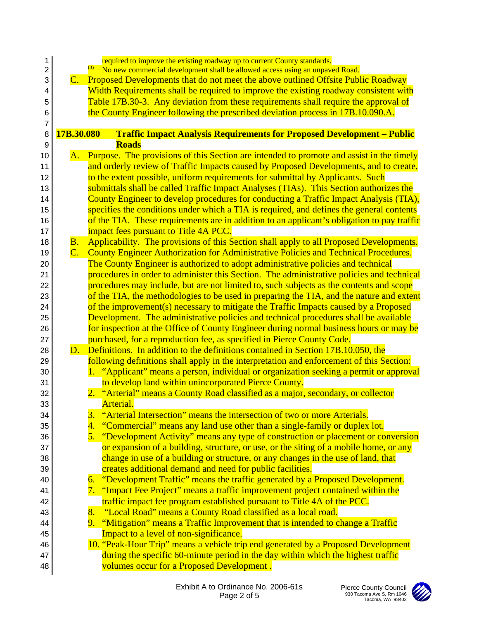| 1              | required to improve the existing roadway up to current County standards.                                                                       |
|----------------|------------------------------------------------------------------------------------------------------------------------------------------------|
| $\overline{c}$ | (3)<br>No new commercial development shall be allowed access using an unpaved Road.                                                            |
| 3              | C. Proposed Developments that do not meet the above outlined Offsite Public Roadway                                                            |
| 4              | Width Requirements shall be required to improve the existing roadway consistent with                                                           |
| 5              | Table 17B.30-3. Any deviation from these requirements shall require the approval of                                                            |
| 6              | the County Engineer following the prescribed deviation process in 17B.10.090.A.                                                                |
| 7<br>8         | 17B.30.080<br><b>Traffic Impact Analysis Requirements for Proposed Development - Public</b>                                                    |
| 9              | <b>Roads</b>                                                                                                                                   |
| 10             | Purpose. The provisions of this Section are intended to promote and assist in the timely<br>A.                                                 |
| 11             | and orderly review of Traffic Impacts caused by Proposed Developments, and to create,                                                          |
| 12             | to the extent possible, uniform requirements for submittal by Applicants. Such                                                                 |
| 13             | submittals shall be called Traffic Impact Analyses (TIAs). This Section authorizes the                                                         |
| 14             | County Engineer to develop procedures for conducting a Traffic Impact Analysis (TIA),                                                          |
| 15             | specifies the conditions under which a TIA is required, and defines the general contents                                                       |
| 16             | of the TIA. These requirements are in addition to an applicant's obligation to pay traffic                                                     |
| 17             | impact fees pursuant to Title 4A PCC.                                                                                                          |
| 18             | Applicability. The provisions of this Section shall apply to all Proposed Developments.<br><b>B.</b>                                           |
| 19             | C. County Engineer Authorization for Administrative Policies and Technical Procedures.                                                         |
| 20             | The County Engineer is authorized to adopt administrative policies and technical                                                               |
| 21             | procedures in order to administer this Section. The administrative policies and technical                                                      |
| 22             | procedures may include, but are not limited to, such subjects as the contents and scope                                                        |
| 23             | of the TIA, the methodologies to be used in preparing the TIA, and the nature and extent                                                       |
| 24             | of the improvement(s) necessary to mitigate the Traffic Impacts caused by a Proposed                                                           |
| 25             | Development. The administrative policies and technical procedures shall be available                                                           |
| 26             | for inspection at the Office of County Engineer during normal business hours or may be                                                         |
| 27             | purchased, for a reproduction fee, as specified in Pierce County Code.                                                                         |
| 28             | Definitions. In addition to the definitions contained in Section 17B.10.050, the<br>$\mathbf{D}$ .                                             |
| 29             | following definitions shall apply in the interpretation and enforcement of this Section:                                                       |
| 30<br>31       | 1. "Applicant" means a person, individual or organization seeking a permit or approval<br>to develop land within unincorporated Pierce County. |
| 32             | 2. "Arterial" means a County Road classified as a major, secondary, or collector                                                               |
| 33             | Arterial.                                                                                                                                      |
| 34             | "Arterial Intersection" means the intersection of two or more Arterials.<br>3.                                                                 |
| 35             | "Commercial" means any land use other than a single-family or duplex lot.<br><u>4.</u>                                                         |
| 36             | "Development Activity" means any type of construction or placement or conversion<br>5.                                                         |
| 37             | or expansion of a building, structure, or use, or the siting of a mobile home, or any                                                          |
| 38             | change in use of a building or structure, or any changes in the use of land, that                                                              |
| 39             | creates additional demand and need for public facilities.                                                                                      |
| 40             | "Development Traffic" means the traffic generated by a Proposed Development.<br>6.                                                             |
| 41             | "Impact Fee Project" means a traffic improvement project contained within the<br>7.                                                            |
| 42             | traffic impact fee program established pursuant to Title 4A of the PCC.                                                                        |
| 43             | "Local Road" means a County Road classified as a local road.<br>8.                                                                             |
| 44             | "Mitigation" means a Traffic Improvement that is intended to change a Traffic<br>9.                                                            |
| 45             | Impact to a level of non-significance.                                                                                                         |
| 46             | 10. "Peak-Hour Trip" means a vehicle trip end generated by a Proposed Development                                                              |
| 47             | during the specific 60-minute period in the day within which the highest traffic                                                               |
| 48             | volumes occur for a Proposed Development.                                                                                                      |

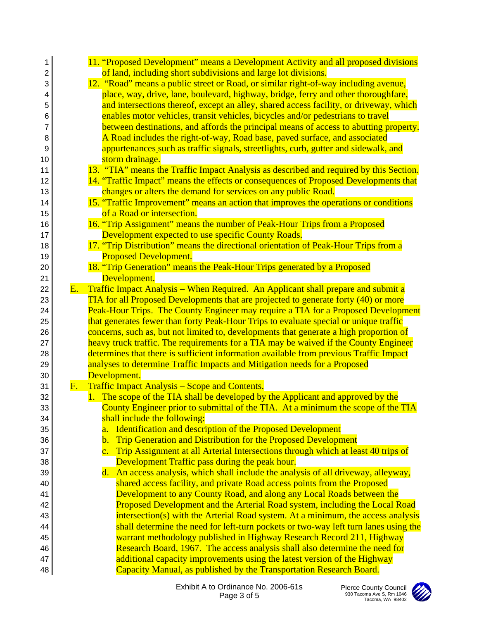| 1        |            | 11. "Proposed Development" means a Development Activity and all proposed divisions                                                                              |
|----------|------------|-----------------------------------------------------------------------------------------------------------------------------------------------------------------|
| 2        |            | of land, including short subdivisions and large lot divisions.                                                                                                  |
| 3        |            | 12. "Road" means a public street or Road, or similar right-of-way including avenue,                                                                             |
| 4        |            | place, way, drive, lane, boulevard, highway, bridge, ferry and other thoroughfare,                                                                              |
| 5        |            | and intersections thereof, except an alley, shared access facility, or driveway, which                                                                          |
| 6        |            | enables motor vehicles, transit vehicles, bicycles and/or pedestrians to travel                                                                                 |
| 7        |            | between destinations, and affords the principal means of access to abutting property.                                                                           |
| 8        |            | A Road includes the right-of-way, Road base, paved surface, and associated                                                                                      |
| 9        |            | appurtenances such as traffic signals, streetlights, curb, gutter and sidewalk, and                                                                             |
| 10       |            | storm drainage.                                                                                                                                                 |
| 11       |            | 13. "TIA" means the Traffic Impact Analysis as described and required by this Section.                                                                          |
| 12       |            | 14. "Traffic Impact" means the effects or consequences of Proposed Developments that                                                                            |
| 13       |            | changes or alters the demand for services on any public Road.                                                                                                   |
| 14       |            | 15. "Traffic Improvement" means an action that improves the operations or conditions                                                                            |
| 15       |            | of a Road or intersection.                                                                                                                                      |
| 16       |            | 16. "Trip Assignment" means the number of Peak-Hour Trips from a Proposed                                                                                       |
| 17       |            | Development expected to use specific County Roads.                                                                                                              |
| 18       |            | 17. "Trip Distribution" means the directional orientation of Peak-Hour Trips from a                                                                             |
| 19       |            | <b>Proposed Development.</b>                                                                                                                                    |
| 20       |            | 18. "Trip Generation" means the Peak-Hour Trips generated by a Proposed                                                                                         |
| 21       |            | Development.                                                                                                                                                    |
| 22       | <b>E.</b>  | Traffic Impact Analysis – When Required. An Applicant shall prepare and submit a                                                                                |
| 23       |            | TIA for all Proposed Developments that are projected to generate forty (40) or more                                                                             |
| 24       |            | Peak-Hour Trips. The County Engineer may require a TIA for a Proposed Development                                                                               |
| 25       |            | that generates fewer than forty Peak-Hour Trips to evaluate special or unique traffic                                                                           |
| 26       |            | concerns, such as, but not limited to, developments that generate a high proportion of                                                                          |
| 27       |            | heavy truck traffic. The requirements for a TIA may be waived if the County Engineer                                                                            |
| 28       |            | determines that there is sufficient information available from previous Traffic Impact                                                                          |
| 29       |            | analyses to determine Traffic Impacts and Mitigation needs for a Proposed                                                                                       |
| 30       |            | Development.                                                                                                                                                    |
| 31       | <u>F. </u> | <b>Traffic Impact Analysis – Scope and Contents.</b>                                                                                                            |
| 32       |            | 1. The scope of the TIA shall be developed by the Applicant and approved by the                                                                                 |
| 33       |            | County Engineer prior to submittal of the TIA. At a minimum the scope of the TIA                                                                                |
| 34       |            | shall include the following:                                                                                                                                    |
| 35       |            | <b>Identification and description of the Proposed Development</b><br>$\overline{a}$ .                                                                           |
| 36       |            | Trip Generation and Distribution for the Proposed Development<br>$\mathbf b$ .                                                                                  |
| 37       |            | Trip Assignment at all Arterial Intersections through which at least 40 trips of<br>$\overline{c}$ .                                                            |
| 38       |            | Development Traffic pass during the peak hour.                                                                                                                  |
| 39       |            | d. An access analysis, which shall include the analysis of all driveway, alleyway,                                                                              |
| 40       |            | shared access facility, and private Road access points from the Proposed                                                                                        |
| 41       |            | Development to any County Road, and along any Local Roads between the                                                                                           |
| 42       |            | Proposed Development and the Arterial Road system, including the Local Road<br>intersection(s) with the Arterial Road system. At a minimum, the access analysis |
| 43       |            | shall determine the need for left-turn pockets or two-way left turn lanes using the                                                                             |
| 44<br>45 |            | warrant methodology published in Highway Research Record 211, Highway                                                                                           |
| 46       |            | Research Board, 1967. The access analysis shall also determine the need for                                                                                     |
| 47       |            | additional capacity improvements using the latest version of the Highway                                                                                        |
| 48       |            | Capacity Manual, as published by the Transportation Research Board.                                                                                             |
|          |            |                                                                                                                                                                 |

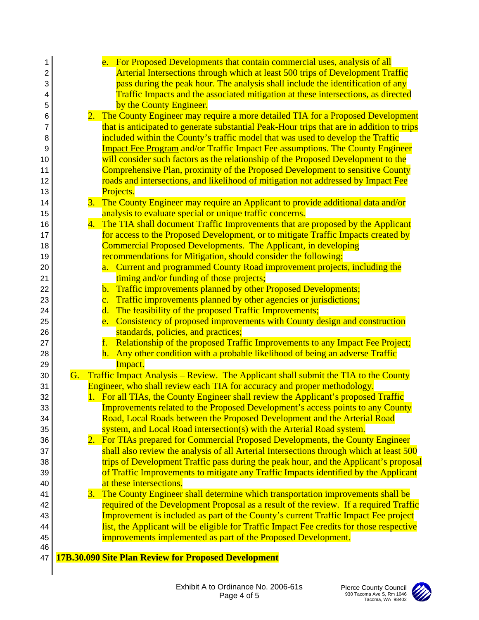| 1  |    | e. For Proposed Developments that contain commercial uses, analysis of all                |
|----|----|-------------------------------------------------------------------------------------------|
| 2  |    | Arterial Intersections through which at least 500 trips of Development Traffic            |
| 3  |    | pass during the peak hour. The analysis shall include the identification of any           |
| 4  |    | Traffic Impacts and the associated mitigation at these intersections, as directed         |
| 5  |    | by the County Engineer.                                                                   |
| 6  |    | 2. The County Engineer may require a more detailed TIA for a Proposed Development         |
| 7  |    | that is anticipated to generate substantial Peak-Hour trips that are in addition to trips |
| 8  |    | included within the County's traffic model that was used to develop the Traffic           |
| 9  |    | <b>Impact Fee Program and/or Traffic Impact Fee assumptions. The County Engineer</b>      |
| 10 |    | will consider such factors as the relationship of the Proposed Development to the         |
| 11 |    | Comprehensive Plan, proximity of the Proposed Development to sensitive County             |
| 12 |    | roads and intersections, and likelihood of mitigation not addressed by Impact Fee         |
| 13 |    | Projects.                                                                                 |
| 14 |    | 3. The County Engineer may require an Applicant to provide additional data and/or         |
| 15 |    | analysis to evaluate special or unique traffic concerns.                                  |
| 16 | 4. | The TIA shall document Traffic Improvements that are proposed by the Applicant            |
| 17 |    | for access to the Proposed Development, or to mitigate Traffic Impacts created by         |
| 18 |    | <b>Commercial Proposed Developments. The Applicant, in developing</b>                     |
| 19 |    | recommendations for Mitigation, should consider the following:                            |
| 20 |    | a. Current and programmed County Road improvement projects, including the                 |
| 21 |    | timing and/or funding of those projects;                                                  |
| 22 |    | Traffic improvements planned by other Proposed Developments;<br>$\mathbf{b}$ .            |
| 23 |    | Traffic improvements planned by other agencies or jurisdictions;<br>$\mathbf{c}$ .        |
| 24 |    | d. The feasibility of the proposed Traffic Improvements;                                  |
| 25 |    | e. Consistency of proposed improvements with County design and construction               |
| 26 |    | standards, policies, and practices;                                                       |
| 27 |    | Relationship of the proposed Traffic Improvements to any Impact Fee Project;<br>f.        |
| 28 |    | Any other condition with a probable likelihood of being an adverse Traffic<br>h.          |
| 29 |    | Impact.                                                                                   |
| 30 |    | G. Traffic Impact Analysis – Review. The Applicant shall submit the TIA to the County     |
| 31 |    | Engineer, who shall review each TIA for accuracy and proper methodology.                  |
| 32 |    | 1. For all TIAs, the County Engineer shall review the Applicant's proposed Traffic        |
| 33 |    | Improvements related to the Proposed Development's access points to any County            |
| 34 |    | Road, Local Roads between the Proposed Development and the Arterial Road                  |
| 35 |    | system, and Local Road intersection(s) with the Arterial Road system.                     |
| 36 |    | 2. For TIAs prepared for Commercial Proposed Developments, the County Engineer            |
| 37 |    | shall also review the analysis of all Arterial Intersections through which at least 500   |
| 38 |    | trips of Development Traffic pass during the peak hour, and the Applicant's proposal      |
| 39 |    | of Traffic Improvements to mitigate any Traffic Impacts identified by the Applicant       |
| 40 |    | at these intersections.                                                                   |
| 41 |    | 3. The County Engineer shall determine which transportation improvements shall be         |
| 42 |    | required of the Development Proposal as a result of the review. If a required Traffic     |
| 43 |    | Improvement is included as part of the County's current Traffic Impact Fee project        |
| 44 |    | list, the Applicant will be eligible for Traffic Impact Fee credits for those respective  |
| 45 |    | improvements implemented as part of the Proposed Development.                             |
| 46 |    |                                                                                           |
| 47 |    | <b>17B.30.090 Site Plan Review for Proposed Development</b>                               |
|    |    |                                                                                           |